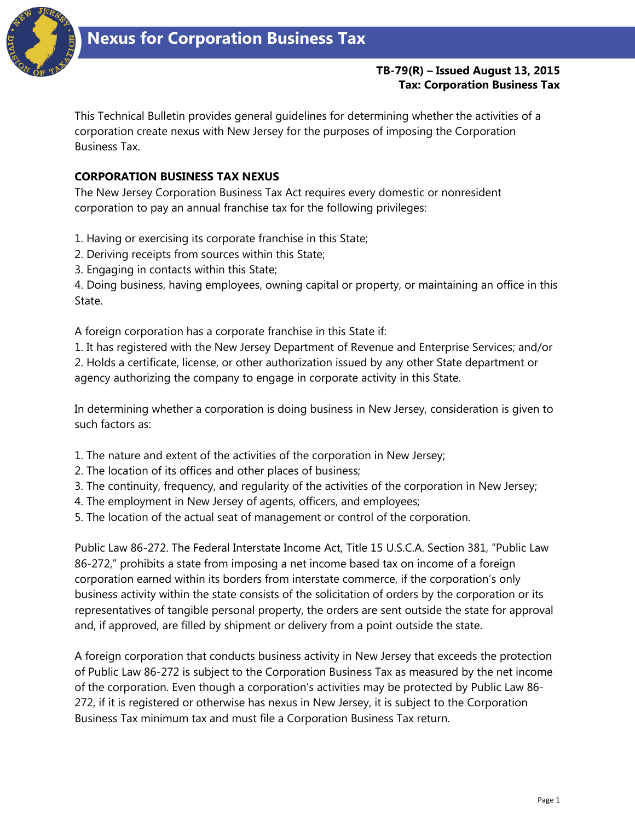

## **TB-79(R) – Issued August 13, 2015 Tax: Corporation Business Tax**

This Technical Bulletin provides general guidelines for determining whether the activities of a corporation create nexus with New Jersey for the purposes of imposing the Corporation Business Tax.

## **CORPORATION BUSINESS TAX NEXUS**

The New Jersey Corporation Business Tax Act requires every domestic or nonresident corporation to pay an annual franchise tax for the following privileges:

- 1. Having or exercising its corporate franchise in this State;
- 2. Deriving receipts from sources within this State;
- 3. Engaging in contacts within this State;

4. Doing business, having employees, owning capital or property, or maintaining an office in this State.

A foreign corporation has a corporate franchise in this State if:

1. It has registered with the New Jersey Department of Revenue and Enterprise Services; and/or 2. Holds a certificate, license, or other authorization issued by any other State department or agency authorizing the company to engage in corporate activity in this State.

In determining whether a corporation is doing business in New Jersey, consideration is given to such factors as:

- 1. The nature and extent of the activities of the corporation in New Jersey;
- 2. The location of its offices and other places of business;
- 3. The continuity, frequency, and regularity of the activities of the corporation in New Jersey;
- 4. The employment in New Jersey of agents, officers, and employees;
- 5. The location of the actual seat of management or control of the corporation.

Public Law 86-272. The Federal Interstate Income Act, Title 15 U.S.C.A. Section 381, "Public Law 86-272," prohibits a state from imposing a net income based tax on income of a foreign corporation earned within its borders from interstate commerce, if the corporation's only business activity within the state consists of the solicitation of orders by the corporation or its representatives of tangible personal property, the orders are sent outside the state for approval and, if approved, are filled by shipment or delivery from a point outside the state.

A foreign corporation that conducts business activity in New Jersey that exceeds the protection of Public Law 86-272 is subject to the Corporation Business Tax as measured by the net income of the corporation. Even though a corporation's activities may be protected by Public Law 86- 272, if it is registered or otherwise has nexus in New Jersey, it is subject to the Corporation Business Tax minimum tax and must file a Corporation Business Tax return.